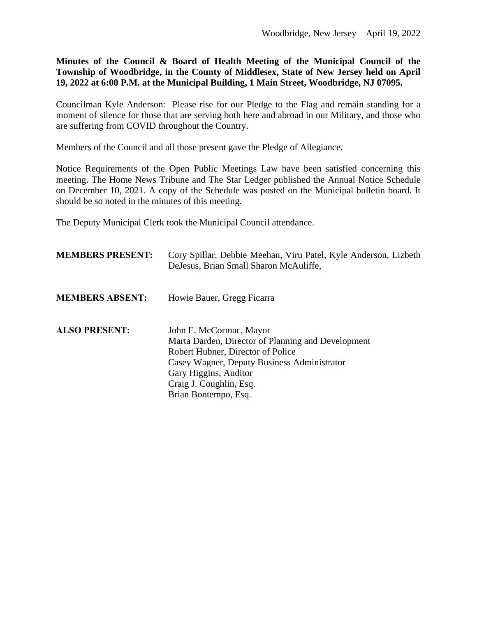**Minutes of the Council & Board of Health Meeting of the Municipal Council of the Township of Woodbridge, in the County of Middlesex, State of New Jersey held on April 19, 2022 at 6:00 P.M. at the Municipal Building, 1 Main Street, Woodbridge, NJ 07095.**

Councilman Kyle Anderson: Please rise for our Pledge to the Flag and remain standing for a moment of silence for those that are serving both here and abroad in our Military, and those who are suffering from COVID throughout the Country.

Members of the Council and all those present gave the Pledge of Allegiance.

Notice Requirements of the Open Public Meetings Law have been satisfied concerning this meeting. The Home News Tribune and The Star Ledger published the Annual Notice Schedule on December 10, 2021. A copy of the Schedule was posted on the Municipal bulletin board. It should be so noted in the minutes of this meeting.

The Deputy Municipal Clerk took the Municipal Council attendance.

| <b>MEMBERS PRESENT:</b> | Cory Spillar, Debbie Meehan, Viru Patel, Kyle Anderson, Lizbeth<br>DeJesus, Brian Small Sharon McAuliffe,                                                                                                                                     |
|-------------------------|-----------------------------------------------------------------------------------------------------------------------------------------------------------------------------------------------------------------------------------------------|
| <b>MEMBERS ABSENT:</b>  | Howie Bauer, Gregg Ficarra                                                                                                                                                                                                                    |
| <b>ALSO PRESENT:</b>    | John E. McCormac, Mayor<br>Marta Darden, Director of Planning and Development<br>Robert Hubner, Director of Police<br>Casey Wagner, Deputy Business Administrator<br>Gary Higgins, Auditor<br>Craig J. Coughlin, Esq.<br>Brian Bontempo, Esq. |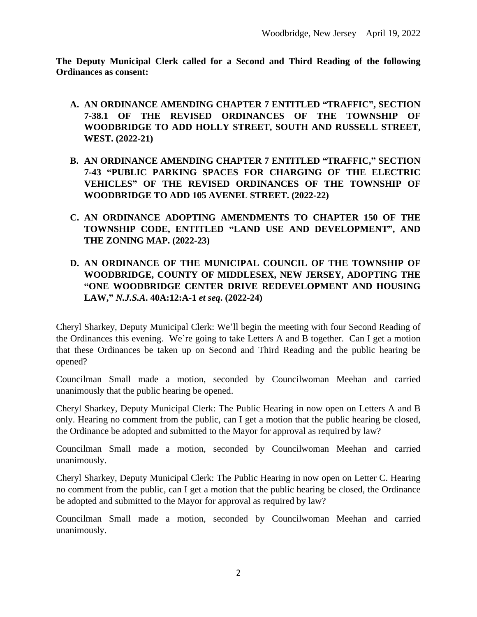**The Deputy Municipal Clerk called for a Second and Third Reading of the following Ordinances as consent:**

- **A. AN ORDINANCE AMENDING CHAPTER 7 ENTITLED "TRAFFIC" , SECTION 7-38.1 OF THE REVISED ORDINANCES OF THE TOWNSHIP OF WOODBRIDGE TO ADD HOLLY STREET, SOUTH AND RUSSELL STREET, WEST. (2022-21)**
- **B. AN ORDINANCE AMENDING CHAPTER 7 ENTITLED "TRAFFIC," SECTION 7-43 "PUBLIC PARKING SPACES FOR CHARGING OF THE ELECTRIC VEHICLES" OF THE REVISED ORDINANCES OF THE TOWNSHIP OF WOODBRIDGE TO ADD 105 AVENEL STREET. (2022-22)**
- **C. AN ORDINANCE ADOPTING AMENDMENTS TO CHAPTER 150 OF THE TOWNSHIP CODE, ENTITLED "LAND USE AND DEVELOPMENT" , AND THE ZONING MAP. (2022-23)**
- **D. AN ORDINANCE OF THE MUNICIPAL COUNCIL OF THE TOWNSHIP OF WOODBRIDGE, COUNTY OF MIDDLESEX, NEW JERSEY, ADOPTING THE "ONE WOODBRIDGE CENTER DRIVE REDEVELOPMENT AND HOUSING LAW,"** *N.J.S.A***. 40A:12:A-1** *et seq***. (2022-24)**

Cheryl Sharkey, Deputy Municipal Clerk: We'll begin the meeting with four Second Reading of the Ordinances this evening. We're going to take Letters A and B together. Can I get a motion that these Ordinances be taken up on Second and Third Reading and the public hearing be opened?

Councilman Small made a motion, seconded by Councilwoman Meehan and carried unanimously that the public hearing be opened.

Cheryl Sharkey, Deputy Municipal Clerk: The Public Hearing in now open on Letters A and B only. Hearing no comment from the public, can I get a motion that the public hearing be closed, the Ordinance be adopted and submitted to the Mayor for approval as required by law?

Councilman Small made a motion, seconded by Councilwoman Meehan and carried unanimously.

Cheryl Sharkey, Deputy Municipal Clerk: The Public Hearing in now open on Letter C. Hearing no comment from the public, can I get a motion that the public hearing be closed, the Ordinance be adopted and submitted to the Mayor for approval as required by law?

Councilman Small made a motion, seconded by Councilwoman Meehan and carried unanimously.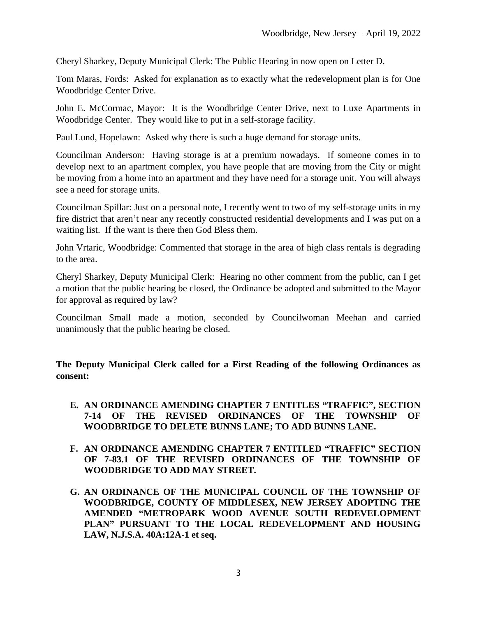Cheryl Sharkey, Deputy Municipal Clerk: The Public Hearing in now open on Letter D.

Tom Maras, Fords: Asked for explanation as to exactly what the redevelopment plan is for One Woodbridge Center Drive.

John E. McCormac, Mayor: It is the Woodbridge Center Drive, next to Luxe Apartments in Woodbridge Center. They would like to put in a self-storage facility.

Paul Lund, Hopelawn: Asked why there is such a huge demand for storage units.

Councilman Anderson: Having storage is at a premium nowadays. If someone comes in to develop next to an apartment complex, you have people that are moving from the City or might be moving from a home into an apartment and they have need for a storage unit. You will always see a need for storage units.

Councilman Spillar: Just on a personal note, I recently went to two of my self-storage units in my fire district that aren't near any recently constructed residential developments and I was put on a waiting list. If the want is there then God Bless them.

John Vrtaric, Woodbridge: Commented that storage in the area of high class rentals is degrading to the area.

Cheryl Sharkey, Deputy Municipal Clerk: Hearing no other comment from the public, can I get a motion that the public hearing be closed, the Ordinance be adopted and submitted to the Mayor for approval as required by law?

Councilman Small made a motion, seconded by Councilwoman Meehan and carried unanimously that the public hearing be closed.

**The Deputy Municipal Clerk called for a First Reading of the following Ordinances as consent:**

- **E. AN ORDINANCE AMENDING CHAPTER 7 ENTITLES "TRAFFIC" , SECTION 7-14 OF THE REVISED ORDINANCES OF THE TOWNSHIP OF WOODBRIDGE TO DELETE BUNNS LANE; TO ADD BUNNS LANE.**
- **F. AN ORDINANCE AMENDING CHAPTER 7 ENTITLED "TRAFFIC" SECTION OF 7-83.1 OF THE REVISED ORDINANCES OF THE TOWNSHIP OF WOODBRIDGE TO ADD MAY STREET.**
- **G. AN ORDINANCE OF THE MUNICIPAL COUNCIL OF THE TOWNSHIP OF WOODBRIDGE, COUNTY OF MIDDLESEX, NEW JERSEY ADOPTING THE AMENDED "METROPARK WOOD AVENUE SOUTH REDEVELOPMENT PLAN" PURSUANT TO THE LOCAL REDEVELOPMENT AND HOUSING LAW, N.J.S.A. 40A:12A-1 et seq.**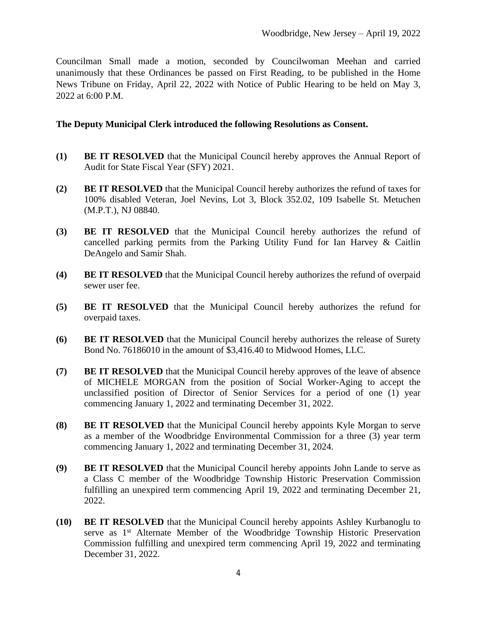Councilman Small made a motion, seconded by Councilwoman Meehan and carried unanimously that these Ordinances be passed on First Reading, to be published in the Home News Tribune on Friday, April 22, 2022 with Notice of Public Hearing to be held on May 3, 2022 at 6:00 P.M.

#### **The Deputy Municipal Clerk introduced the following Resolutions as Consent.**

- **(1) BE IT RESOLVED** that the Municipal Council hereby approves the Annual Report of Audit for State Fiscal Year (SFY) 2021.
- **(2) BE IT RESOLVED** that the Municipal Council hereby authorizes the refund of taxes for 100% disabled Veteran, Joel Nevins, Lot 3, Block 352.02, 109 Isabelle St. Metuchen (M.P.T.), NJ 08840.
- **(3) BE IT RESOLVED** that the Municipal Council hereby authorizes the refund of cancelled parking permits from the Parking Utility Fund for Ian Harvey & Caitlin DeAngelo and Samir Shah.
- **(4) BE IT RESOLVED** that the Municipal Council hereby authorizes the refund of overpaid sewer user fee.
- **(5) BE IT RESOLVED** that the Municipal Council hereby authorizes the refund for overpaid taxes.
- **(6) BE IT RESOLVED** that the Municipal Council hereby authorizes the release of Surety Bond No. 76186010 in the amount of \$3,416.40 to Midwood Homes, LLC.
- **(7) BE IT RESOLVED** that the Municipal Council hereby approves of the leave of absence of MICHELE MORGAN from the position of Social Worker-Aging to accept the unclassified position of Director of Senior Services for a period of one (1) year commencing January 1, 2022 and terminating December 31, 2022.
- **(8) BE IT RESOLVED** that the Municipal Council hereby appoints Kyle Morgan to serve as a member of the Woodbridge Environmental Commission for a three (3) year term commencing January 1, 2022 and terminating December 31, 2024.
- **(9) BE IT RESOLVED** that the Municipal Council hereby appoints John Lande to serve as a Class C member of the Woodbridge Township Historic Preservation Commission fulfilling an unexpired term commencing April 19, 2022 and terminating December 21, 2022.
- **(10) BE IT RESOLVED** that the Municipal Council hereby appoints Ashley Kurbanoglu to serve as 1<sup>st</sup> Alternate Member of the Woodbridge Township Historic Preservation Commission fulfilling and unexpired term commencing April 19, 2022 and terminating December 31, 2022.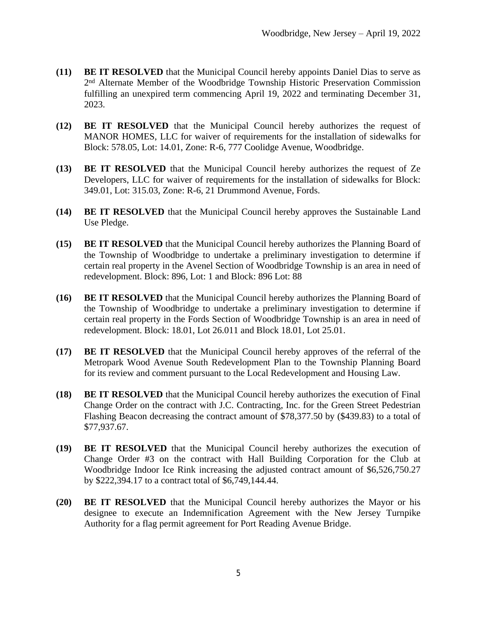- **(11) BE IT RESOLVED** that the Municipal Council hereby appoints Daniel Dias to serve as 2<sup>nd</sup> Alternate Member of the Woodbridge Township Historic Preservation Commission fulfilling an unexpired term commencing April 19, 2022 and terminating December 31, 2023.
- **(12) BE IT RESOLVED** that the Municipal Council hereby authorizes the request of MANOR HOMES, LLC for waiver of requirements for the installation of sidewalks for Block: 578.05, Lot: 14.01, Zone: R-6, 777 Coolidge Avenue, Woodbridge.
- **(13) BE IT RESOLVED** that the Municipal Council hereby authorizes the request of Ze Developers, LLC for waiver of requirements for the installation of sidewalks for Block: 349.01, Lot: 315.03, Zone: R-6, 21 Drummond Avenue, Fords.
- **(14) BE IT RESOLVED** that the Municipal Council hereby approves the Sustainable Land Use Pledge.
- **(15) BE IT RESOLVED** that the Municipal Council hereby authorizes the Planning Board of the Township of Woodbridge to undertake a preliminary investigation to determine if certain real property in the Avenel Section of Woodbridge Township is an area in need of redevelopment. Block: 896, Lot: 1 and Block: 896 Lot: 88
- **(16) BE IT RESOLVED** that the Municipal Council hereby authorizes the Planning Board of the Township of Woodbridge to undertake a preliminary investigation to determine if certain real property in the Fords Section of Woodbridge Township is an area in need of redevelopment. Block: 18.01, Lot 26.011 and Block 18.01, Lot 25.01.
- **(17) BE IT RESOLVED** that the Municipal Council hereby approves of the referral of the Metropark Wood Avenue South Redevelopment Plan to the Township Planning Board for its review and comment pursuant to the Local Redevelopment and Housing Law.
- **(18) BE IT RESOLVED** that the Municipal Council hereby authorizes the execution of Final Change Order on the contract with J.C. Contracting, Inc. for the Green Street Pedestrian Flashing Beacon decreasing the contract amount of \$78,377.50 by (\$439.83) to a total of \$77,937.67.
- **(19) BE IT RESOLVED** that the Municipal Council hereby authorizes the execution of Change Order #3 on the contract with Hall Building Corporation for the Club at Woodbridge Indoor Ice Rink increasing the adjusted contract amount of \$6,526,750.27 by \$222,394.17 to a contract total of \$6,749,144.44.
- **(20) BE IT RESOLVED** that the Municipal Council hereby authorizes the Mayor or his designee to execute an Indemnification Agreement with the New Jersey Turnpike Authority for a flag permit agreement for Port Reading Avenue Bridge.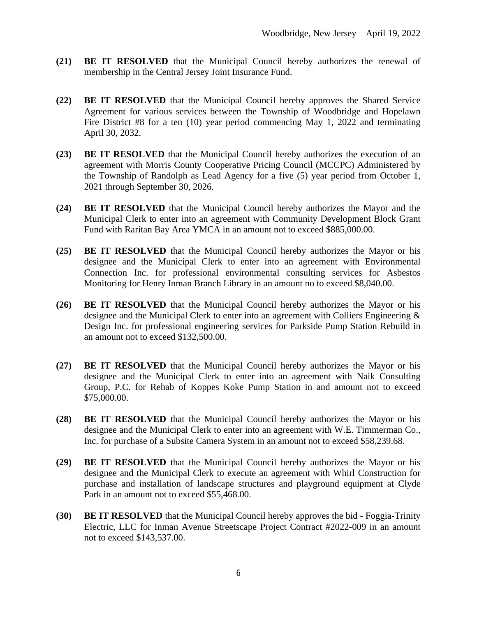- **(21) BE IT RESOLVED** that the Municipal Council hereby authorizes the renewal of membership in the Central Jersey Joint Insurance Fund.
- **(22) BE IT RESOLVED** that the Municipal Council hereby approves the Shared Service Agreement for various services between the Township of Woodbridge and Hopelawn Fire District #8 for a ten (10) year period commencing May 1, 2022 and terminating April 30, 2032.
- **(23) BE IT RESOLVED** that the Municipal Council hereby authorizes the execution of an agreement with Morris County Cooperative Pricing Council (MCCPC) Administered by the Township of Randolph as Lead Agency for a five (5) year period from October 1, 2021 through September 30, 2026.
- **(24) BE IT RESOLVED** that the Municipal Council hereby authorizes the Mayor and the Municipal Clerk to enter into an agreement with Community Development Block Grant Fund with Raritan Bay Area YMCA in an amount not to exceed \$885,000.00.
- **(25) BE IT RESOLVED** that the Municipal Council hereby authorizes the Mayor or his designee and the Municipal Clerk to enter into an agreement with Environmental Connection Inc. for professional environmental consulting services for Asbestos Monitoring for Henry Inman Branch Library in an amount no to exceed \$8,040.00.
- **(26) BE IT RESOLVED** that the Municipal Council hereby authorizes the Mayor or his designee and the Municipal Clerk to enter into an agreement with Colliers Engineering & Design Inc. for professional engineering services for Parkside Pump Station Rebuild in an amount not to exceed \$132,500.00.
- **(27) BE IT RESOLVED** that the Municipal Council hereby authorizes the Mayor or his designee and the Municipal Clerk to enter into an agreement with Naik Consulting Group, P.C. for Rehab of Koppes Koke Pump Station in and amount not to exceed \$75,000.00.
- **(28) BE IT RESOLVED** that the Municipal Council hereby authorizes the Mayor or his designee and the Municipal Clerk to enter into an agreement with W.E. Timmerman Co., Inc. for purchase of a Subsite Camera System in an amount not to exceed \$58,239.68.
- **(29) BE IT RESOLVED** that the Municipal Council hereby authorizes the Mayor or his designee and the Municipal Clerk to execute an agreement with Whirl Construction for purchase and installation of landscape structures and playground equipment at Clyde Park in an amount not to exceed \$55,468.00.
- **(30) BE IT RESOLVED** that the Municipal Council hereby approves the bid Foggia-Trinity Electric, LLC for Inman Avenue Streetscape Project Contract #2022-009 in an amount not to exceed \$143,537.00.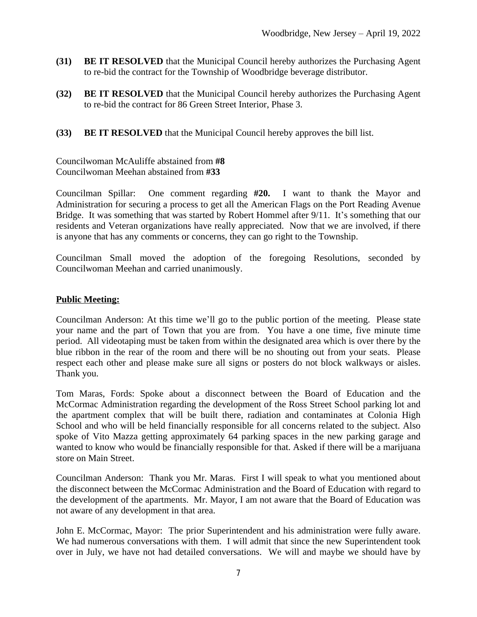- **(31) BE IT RESOLVED** that the Municipal Council hereby authorizes the Purchasing Agent to re-bid the contract for the Township of Woodbridge beverage distributor.
- **(32) BE IT RESOLVED** that the Municipal Council hereby authorizes the Purchasing Agent to re-bid the contract for 86 Green Street Interior, Phase 3.
- **(33) BE IT RESOLVED** that the Municipal Council hereby approves the bill list.

Councilwoman McAuliffe abstained from **#8** Councilwoman Meehan abstained from **#33**

Councilman Spillar: One comment regarding **#20.** I want to thank the Mayor and Administration for securing a process to get all the American Flags on the Port Reading Avenue Bridge. It was something that was started by Robert Hommel after 9/11. It's something that our residents and Veteran organizations have really appreciated. Now that we are involved, if there is anyone that has any comments or concerns, they can go right to the Township.

Councilman Small moved the adoption of the foregoing Resolutions, seconded by Councilwoman Meehan and carried unanimously.

### **Public Meeting:**

Councilman Anderson: At this time we'll go to the public portion of the meeting. Please state your name and the part of Town that you are from. You have a one time, five minute time period. All videotaping must be taken from within the designated area which is over there by the blue ribbon in the rear of the room and there will be no shouting out from your seats. Please respect each other and please make sure all signs or posters do not block walkways or aisles. Thank you.

Tom Maras, Fords: Spoke about a disconnect between the Board of Education and the McCormac Administration regarding the development of the Ross Street School parking lot and the apartment complex that will be built there, radiation and contaminates at Colonia High School and who will be held financially responsible for all concerns related to the subject. Also spoke of Vito Mazza getting approximately 64 parking spaces in the new parking garage and wanted to know who would be financially responsible for that. Asked if there will be a marijuana store on Main Street.

Councilman Anderson: Thank you Mr. Maras. First I will speak to what you mentioned about the disconnect between the McCormac Administration and the Board of Education with regard to the development of the apartments. Mr. Mayor, I am not aware that the Board of Education was not aware of any development in that area.

John E. McCormac, Mayor: The prior Superintendent and his administration were fully aware. We had numerous conversations with them. I will admit that since the new Superintendent took over in July, we have not had detailed conversations. We will and maybe we should have by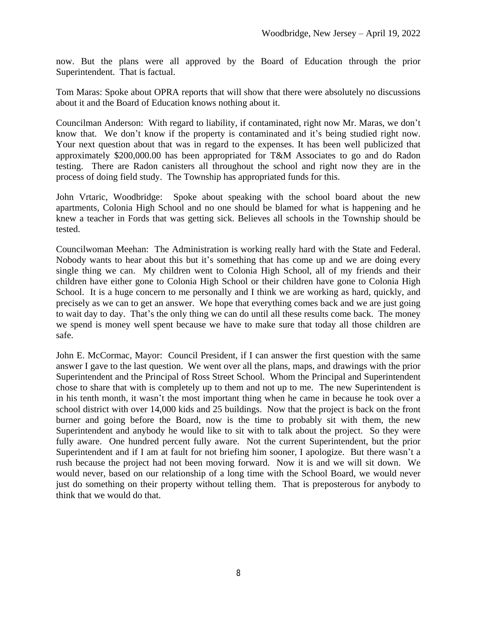now. But the plans were all approved by the Board of Education through the prior Superintendent. That is factual.

Tom Maras: Spoke about OPRA reports that will show that there were absolutely no discussions about it and the Board of Education knows nothing about it.

Councilman Anderson: With regard to liability, if contaminated, right now Mr. Maras, we don't know that. We don't know if the property is contaminated and it's being studied right now. Your next question about that was in regard to the expenses. It has been well publicized that approximately \$200,000.00 has been appropriated for T&M Associates to go and do Radon testing. There are Radon canisters all throughout the school and right now they are in the process of doing field study. The Township has appropriated funds for this.

John Vrtaric, Woodbridge: Spoke about speaking with the school board about the new apartments, Colonia High School and no one should be blamed for what is happening and he knew a teacher in Fords that was getting sick. Believes all schools in the Township should be tested.

Councilwoman Meehan: The Administration is working really hard with the State and Federal. Nobody wants to hear about this but it's something that has come up and we are doing every single thing we can. My children went to Colonia High School, all of my friends and their children have either gone to Colonia High School or their children have gone to Colonia High School. It is a huge concern to me personally and I think we are working as hard, quickly, and precisely as we can to get an answer. We hope that everything comes back and we are just going to wait day to day. That's the only thing we can do until all these results come back. The money we spend is money well spent because we have to make sure that today all those children are safe.

John E. McCormac, Mayor: Council President, if I can answer the first question with the same answer I gave to the last question. We went over all the plans, maps, and drawings with the prior Superintendent and the Principal of Ross Street School. Whom the Principal and Superintendent chose to share that with is completely up to them and not up to me. The new Superintendent is in his tenth month, it wasn't the most important thing when he came in because he took over a school district with over 14,000 kids and 25 buildings. Now that the project is back on the front burner and going before the Board, now is the time to probably sit with them, the new Superintendent and anybody he would like to sit with to talk about the project. So they were fully aware. One hundred percent fully aware. Not the current Superintendent, but the prior Superintendent and if I am at fault for not briefing him sooner, I apologize. But there wasn't a rush because the project had not been moving forward. Now it is and we will sit down. We would never, based on our relationship of a long time with the School Board, we would never just do something on their property without telling them. That is preposterous for anybody to think that we would do that.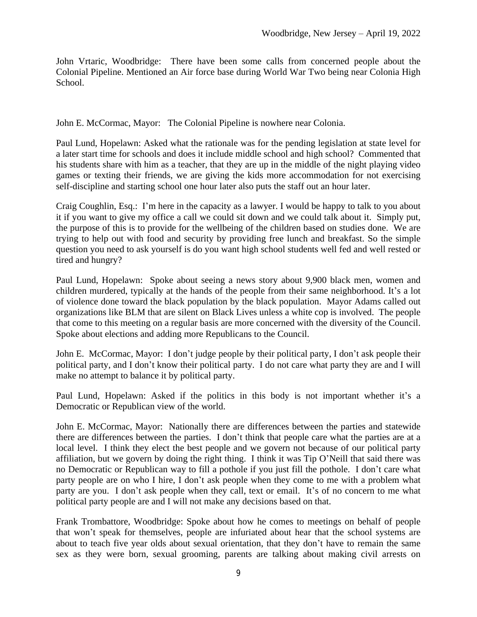John Vrtaric, Woodbridge: There have been some calls from concerned people about the Colonial Pipeline. Mentioned an Air force base during World War Two being near Colonia High School.

John E. McCormac, Mayor: The Colonial Pipeline is nowhere near Colonia.

Paul Lund, Hopelawn: Asked what the rationale was for the pending legislation at state level for a later start time for schools and does it include middle school and high school? Commented that his students share with him as a teacher, that they are up in the middle of the night playing video games or texting their friends, we are giving the kids more accommodation for not exercising self-discipline and starting school one hour later also puts the staff out an hour later.

Craig Coughlin, Esq.: I'm here in the capacity as a lawyer. I would be happy to talk to you about it if you want to give my office a call we could sit down and we could talk about it. Simply put, the purpose of this is to provide for the wellbeing of the children based on studies done. We are trying to help out with food and security by providing free lunch and breakfast. So the simple question you need to ask yourself is do you want high school students well fed and well rested or tired and hungry?

Paul Lund, Hopelawn: Spoke about seeing a news story about 9,900 black men, women and children murdered, typically at the hands of the people from their same neighborhood. It's a lot of violence done toward the black population by the black population. Mayor Adams called out organizations like BLM that are silent on Black Lives unless a white cop is involved. The people that come to this meeting on a regular basis are more concerned with the diversity of the Council. Spoke about elections and adding more Republicans to the Council.

John E. McCormac, Mayor: I don't judge people by their political party, I don't ask people their political party, and I don't know their political party. I do not care what party they are and I will make no attempt to balance it by political party.

Paul Lund, Hopelawn: Asked if the politics in this body is not important whether it's a Democratic or Republican view of the world.

John E. McCormac, Mayor: Nationally there are differences between the parties and statewide there are differences between the parties. I don't think that people care what the parties are at a local level. I think they elect the best people and we govern not because of our political party affiliation, but we govern by doing the right thing. I think it was Tip O'Neill that said there was no Democratic or Republican way to fill a pothole if you just fill the pothole. I don't care what party people are on who I hire, I don't ask people when they come to me with a problem what party are you. I don't ask people when they call, text or email. It's of no concern to me what political party people are and I will not make any decisions based on that.

Frank Trombattore, Woodbridge: Spoke about how he comes to meetings on behalf of people that won't speak for themselves, people are infuriated about hear that the school systems are about to teach five year olds about sexual orientation, that they don't have to remain the same sex as they were born, sexual grooming, parents are talking about making civil arrests on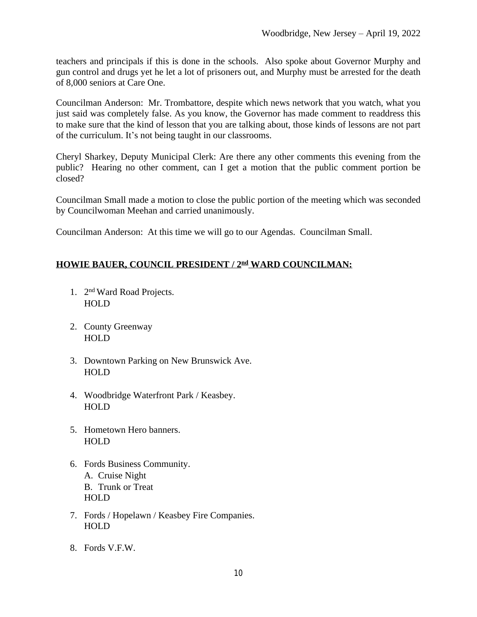teachers and principals if this is done in the schools. Also spoke about Governor Murphy and gun control and drugs yet he let a lot of prisoners out, and Murphy must be arrested for the death of 8,000 seniors at Care One.

Councilman Anderson: Mr. Trombattore, despite which news network that you watch, what you just said was completely false. As you know, the Governor has made comment to readdress this to make sure that the kind of lesson that you are talking about, those kinds of lessons are not part of the curriculum. It's not being taught in our classrooms.

Cheryl Sharkey, Deputy Municipal Clerk: Are there any other comments this evening from the public? Hearing no other comment, can I get a motion that the public comment portion be closed?

Councilman Small made a motion to close the public portion of the meeting which was seconded by Councilwoman Meehan and carried unanimously.

Councilman Anderson: At this time we will go to our Agendas. Councilman Small.

# **HOWIE BAUER, COUNCIL PRESIDENT / 2nd WARD COUNCILMAN:**

- 1. 2 nd Ward Road Projects. HOLD
- 2. County Greenway HOLD
- 3. Downtown Parking on New Brunswick Ave. HOLD
- 4. Woodbridge Waterfront Park / Keasbey. HOLD
- 5. Hometown Hero banners. HOLD
- 6. Fords Business Community. A. Cruise Night B. Trunk or Treat HOLD
- 7. Fords / Hopelawn / Keasbey Fire Companies. HOLD
- 8. Fords V.F.W.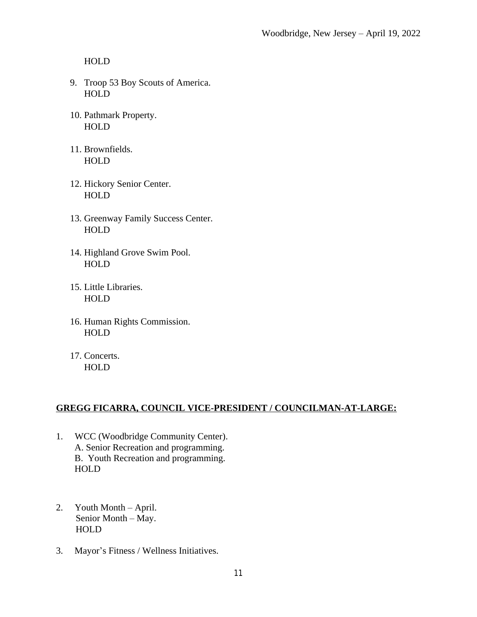HOLD

- 9. Troop 53 Boy Scouts of America. HOLD
- 10. Pathmark Property. HOLD
- 11. Brownfields. HOLD
- 12. Hickory Senior Center. HOLD
- 13. Greenway Family Success Center. HOLD
- 14. Highland Grove Swim Pool. **HOLD**
- 15. Little Libraries. HOLD
- 16. Human Rights Commission. HOLD
- 17. Concerts. HOLD

## **GREGG FICARRA, COUNCIL VICE-PRESIDENT / COUNCILMAN-AT-LARGE:**

- 1. WCC (Woodbridge Community Center). A. Senior Recreation and programming. B. Youth Recreation and programming. HOLD
- 2. Youth Month April. Senior Month – May. HOLD
- 3. Mayor's Fitness / Wellness Initiatives.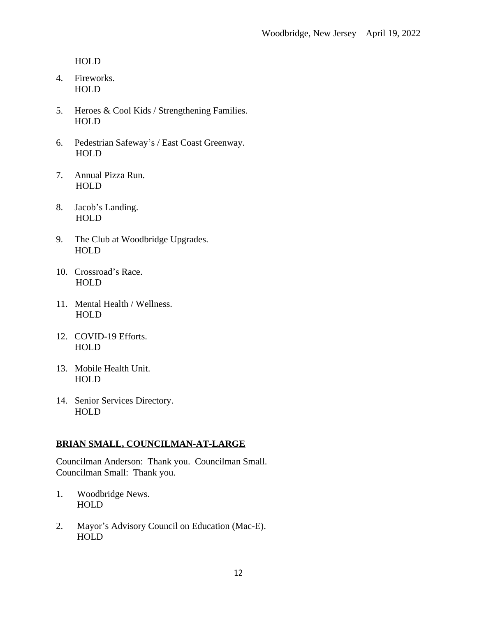HOLD

- 4. Fireworks. HOLD
- 5. Heroes & Cool Kids / Strengthening Families. HOLD
- 6. Pedestrian Safeway's / East Coast Greenway. HOLD
- 7. Annual Pizza Run. HOLD
- 8. Jacob's Landing. HOLD
- 9. The Club at Woodbridge Upgrades. HOLD
- 10. Crossroad's Race. HOLD
- 11. Mental Health / Wellness. HOLD
- 12. COVID-19 Efforts. HOLD
- 13. Mobile Health Unit. HOLD
- 14. Senior Services Directory. HOLD

## **BRIAN SMALL, COUNCILMAN-AT-LARGE**

Councilman Anderson: Thank you. Councilman Small. Councilman Small: Thank you.

- 1. Woodbridge News. HOLD
- 2. Mayor's Advisory Council on Education (Mac-E). HOLD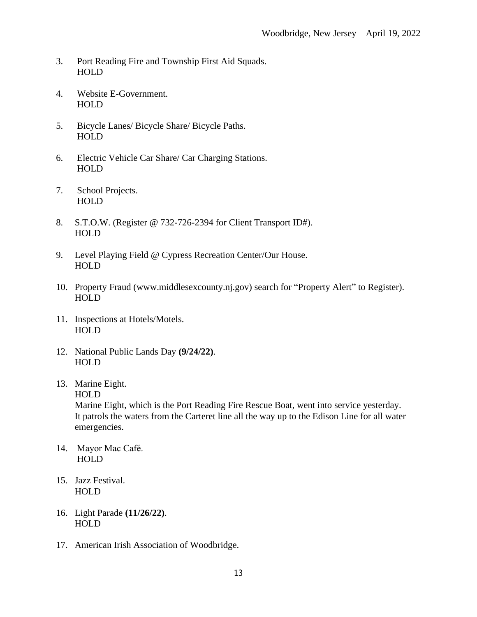- 3. Port Reading Fire and Township First Aid Squads. HOLD
- 4. Website E-Government. HOLD
- 5. Bicycle Lanes/ Bicycle Share/ Bicycle Paths. HOLD
- 6. Electric Vehicle Car Share/ Car Charging Stations. HOLD
- 7. School Projects. HOLD
- 8. S.T.O.W. (Register @ 732-726-2394 for Client Transport ID#). HOLD
- 9. Level Playing Field @ Cypress Recreation Center/Our House. HOLD
- 10. Property Fraud [\(www.middlesexcounty.nj.gov\) s](http://www.middlesexcounty.nj.gov)earch for "Property Alert" to Register). HOLD
- 11. Inspections at Hotels/Motels. **HOLD**
- 12. National Public Lands Day **(9/24/22)**. HOLD
- 13. Marine Eight.
	- HOLD

 Marine Eight, which is the Port Reading Fire Rescue Boat, went into service yesterday. It patrols the waters from the Carteret line all the way up to the Edison Line for all water emergencies.

- 14. Mayor Mac Café. HOLD
- 15. Jazz Festival. HOLD
- 16. Light Parade **(11/26/22)**. **HOLD**
- 17. American Irish Association of Woodbridge.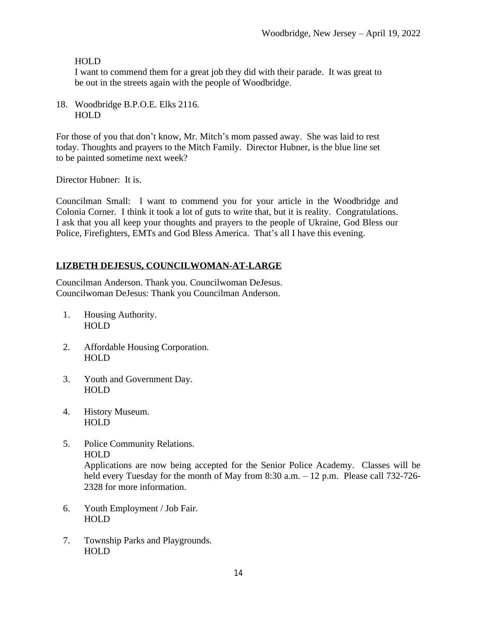## **HOLD**

 I want to commend them for a great job they did with their parade. It was great to be out in the streets again with the people of Woodbridge.

18. Woodbridge B.P.O.E. Elks 2116. HOLD

For those of you that don't know, Mr. Mitch's mom passed away. She was laid to rest today. Thoughts and prayers to the Mitch Family. Director Hubner, is the blue line set to be painted sometime next week?

Director Hubner: It is.

Councilman Small: I want to commend you for your article in the Woodbridge and Colonia Corner. I think it took a lot of guts to write that, but it is reality. Congratulations. I ask that you all keep your thoughts and prayers to the people of Ukraine, God Bless our Police, Firefighters, EMTs and God Bless America. That's all I have this evening.

# **LIZBETH DEJESUS, COUNCILWOMAN-AT-LARGE**

Councilman Anderson. Thank you. Councilwoman DeJesus. Councilwoman DeJesus: Thank you Councilman Anderson.

- 1. Housing Authority. HOLD
- 2. Affordable Housing Corporation. HOLD
- 3. Youth and Government Day. HOLD
- 4. History Museum. HOLD
- 5. Police Community Relations. HOLD

Applications are now being accepted for the Senior Police Academy. Classes will be held every Tuesday for the month of May from 8:30 a.m. – 12 p.m. Please call 732-726-2328 for more information.

- 6. Youth Employment / Job Fair. HOLD
- 7. Township Parks and Playgrounds. HOLD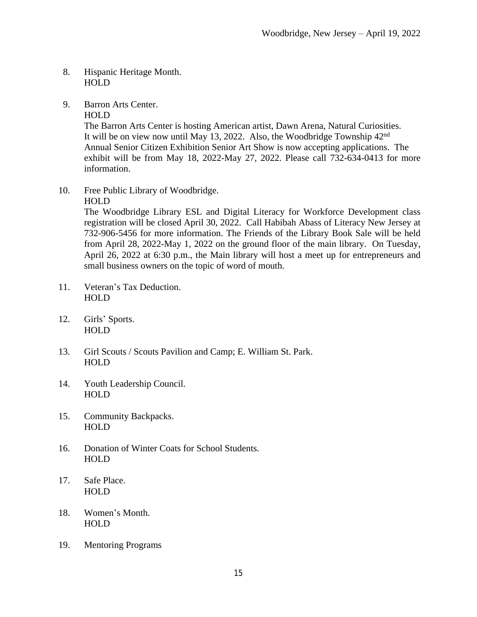### 8. Hispanic Heritage Month. HOLD

9. Barron Arts Center.

HOLD

The Barron Arts Center is hosting American artist, Dawn Arena, Natural Curiosities. It will be on view now until May 13, 2022. Also, the Woodbridge Township 42nd Annual Senior Citizen Exhibition Senior Art Show is now accepting applications. The exhibit will be from May 18, 2022-May 27, 2022. Please call 732-634-0413 for more information.

10. Free Public Library of Woodbridge.

HOLD

The Woodbridge Library ESL and Digital Literacy for Workforce Development class registration will be closed April 30, 2022. Call Habibah Abass of Literacy New Jersey at 732-906-5456 for more information. The Friends of the Library Book Sale will be held from April 28, 2022-May 1, 2022 on the ground floor of the main library. On Tuesday, April 26, 2022 at 6:30 p.m., the Main library will host a meet up for entrepreneurs and small business owners on the topic of word of mouth.

- 11. Veteran's Tax Deduction. HOLD
- 12. Girls' Sports. HOLD
- 13. Girl Scouts / Scouts Pavilion and Camp; E. William St. Park. HOLD
- 14. Youth Leadership Council. HOLD
- 15. Community Backpacks. HOLD
- 16. Donation of Winter Coats for School Students. HOLD
- 17. Safe Place. HOLD
- 18. Women's Month. HOLD
- 19. Mentoring Programs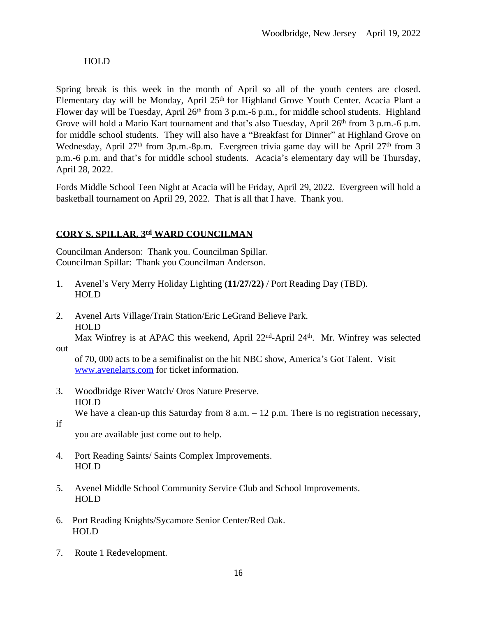### HOLD

Spring break is this week in the month of April so all of the youth centers are closed. Elementary day will be Monday, April 25<sup>th</sup> for Highland Grove Youth Center. Acacia Plant a Flower day will be Tuesday, April 26<sup>th</sup> from 3 p.m.-6 p.m., for middle school students. Highland Grove will hold a Mario Kart tournament and that's also Tuesday, April 26<sup>th</sup> from 3 p.m.-6 p.m. for middle school students. They will also have a "Breakfast for Dinner" at Highland Grove on Wednesday, April 27<sup>th</sup> from 3p.m.-8p.m. Evergreen trivia game day will be April 27<sup>th</sup> from 3 p.m.-6 p.m. and that's for middle school students. Acacia's elementary day will be Thursday, April 28, 2022.

Fords Middle School Teen Night at Acacia will be Friday, April 29, 2022. Evergreen will hold a basketball tournament on April 29, 2022. That is all that I have. Thank you.

# **CORY S. SPILLAR, 3rd WARD COUNCILMAN**

Councilman Anderson: Thank you. Councilman Spillar. Councilman Spillar: Thank you Councilman Anderson.

- 1. Avenel's Very Merry Holiday Lighting **(11/27/22)** / Port Reading Day (TBD). HOLD
- 2. Avenel Arts Village/Train Station/Eric LeGrand Believe Park. HOLD Max Winfrey is at APAC this weekend, April 22<sup>nd</sup>-April 24<sup>th</sup>. Mr. Winfrey was selected
- out

 of 70, 000 acts to be a semifinalist on the hit NBC show, America's Got Talent. Visit [www.avenelarts.com](http://www.avenelarts.com) for ticket information.

- 3. Woodbridge River Watch/ Oros Nature Preserve. HOLD We have a clean-up this Saturday from  $8$  a.m.  $-12$  p.m. There is no registration necessary,
- if

you are available just come out to help.

- 4. Port Reading Saints/ Saints Complex Improvements. HOLD
- 5. Avenel Middle School Community Service Club and School Improvements. HOLD
- 6. Port Reading Knights/Sycamore Senior Center/Red Oak. HOLD
- 7. Route 1 Redevelopment.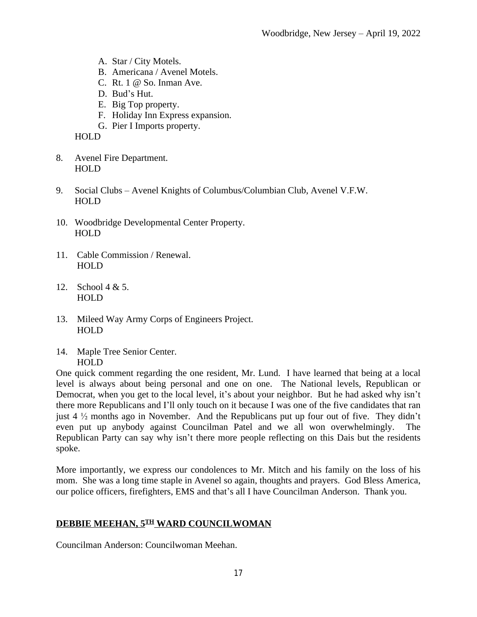- A. Star / City Motels.
- B. Americana / Avenel Motels.
- C. Rt. 1 @ So. Inman Ave.
- D. Bud's Hut.
- E. Big Top property.
- F. Holiday Inn Express expansion.
- G. Pier I Imports property.

HOLD

- 8. Avenel Fire Department. HOLD
- 9. Social Clubs Avenel Knights of Columbus/Columbian Club, Avenel V.F.W. HOLD
- 10. Woodbridge Developmental Center Property. HOLD
- 11. Cable Commission / Renewal. HOLD
- 12. School 4 & 5. HOLD
- 13. Mileed Way Army Corps of Engineers Project. HOLD
- 14. Maple Tree Senior Center. HOLD

One quick comment regarding the one resident, Mr. Lund. I have learned that being at a local level is always about being personal and one on one. The National levels, Republican or Democrat, when you get to the local level, it's about your neighbor. But he had asked why isn't there more Republicans and I'll only touch on it because I was one of the five candidates that ran just  $4\frac{1}{2}$  months ago in November. And the Republicans put up four out of five. They didn't even put up anybody against Councilman Patel and we all won overwhelmingly. The Republican Party can say why isn't there more people reflecting on this Dais but the residents spoke.

More importantly, we express our condolences to Mr. Mitch and his family on the loss of his mom. She was a long time staple in Avenel so again, thoughts and prayers. God Bless America, our police officers, firefighters, EMS and that's all I have Councilman Anderson. Thank you.

### **DEBBIE MEEHAN, 5TH WARD COUNCILWOMAN**

Councilman Anderson: Councilwoman Meehan.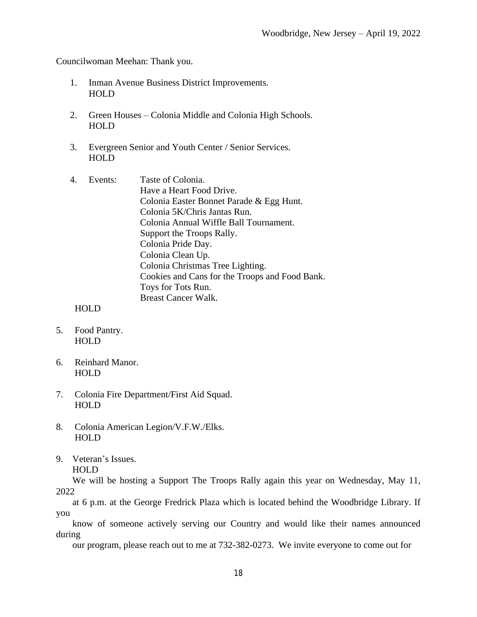Councilwoman Meehan: Thank you.

- 1. Inman Avenue Business District Improvements. HOLD
- 2. Green Houses Colonia Middle and Colonia High Schools. HOLD
- 3. Evergreen Senior and Youth Center / Senior Services. HOLD
- 4. Events: Taste of Colonia. Have a Heart Food Drive. Colonia Easter Bonnet Parade & Egg Hunt. Colonia 5K/Chris Jantas Run. Colonia Annual Wiffle Ball Tournament. Support the Troops Rally. Colonia Pride Day. Colonia Clean Up. Colonia Christmas Tree Lighting. Cookies and Cans for the Troops and Food Bank. Toys for Tots Run. Breast Cancer Walk.

HOLD

- 5. Food Pantry. HOLD
- 6. Reinhard Manor. HOLD
- 7. Colonia Fire Department/First Aid Squad. HOLD
- 8. Colonia American Legion/V.F.W./Elks. **HOLD**
- 9. Veteran's Issues. HOLD

We will be hosting a Support The Troops Rally again this year on Wednesday, May 11, 2022

at 6 p.m. at the George Fredrick Plaza which is located behind the Woodbridge Library. If you

know of someone actively serving our Country and would like their names announced during

our program, please reach out to me at 732-382-0273. We invite everyone to come out for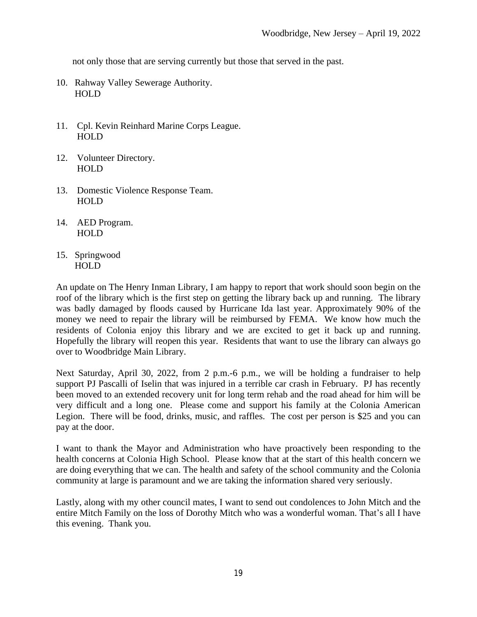not only those that are serving currently but those that served in the past.

- 10. Rahway Valley Sewerage Authority. HOLD
- 11. Cpl. Kevin Reinhard Marine Corps League. HOLD
- 12. Volunteer Directory. HOLD
- 13. Domestic Violence Response Team. HOLD
- 14. AED Program. HOLD
- 15. Springwood HOLD

An update on The Henry Inman Library, I am happy to report that work should soon begin on the roof of the library which is the first step on getting the library back up and running. The library was badly damaged by floods caused by Hurricane Ida last year. Approximately 90% of the money we need to repair the library will be reimbursed by FEMA. We know how much the residents of Colonia enjoy this library and we are excited to get it back up and running. Hopefully the library will reopen this year. Residents that want to use the library can always go over to Woodbridge Main Library.

Next Saturday, April 30, 2022, from 2 p.m.-6 p.m., we will be holding a fundraiser to help support PJ Pascalli of Iselin that was injured in a terrible car crash in February. PJ has recently been moved to an extended recovery unit for long term rehab and the road ahead for him will be very difficult and a long one. Please come and support his family at the Colonia American Legion. There will be food, drinks, music, and raffles. The cost per person is \$25 and you can pay at the door.

I want to thank the Mayor and Administration who have proactively been responding to the health concerns at Colonia High School. Please know that at the start of this health concern we are doing everything that we can. The health and safety of the school community and the Colonia community at large is paramount and we are taking the information shared very seriously.

Lastly, along with my other council mates, I want to send out condolences to John Mitch and the entire Mitch Family on the loss of Dorothy Mitch who was a wonderful woman. That's all I have this evening. Thank you.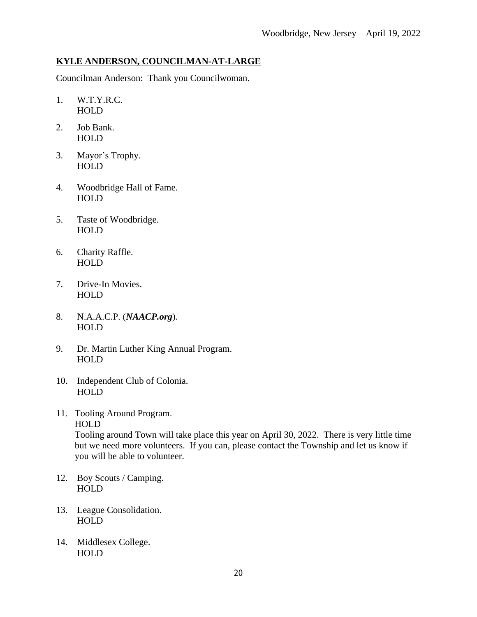### **KYLE ANDERSON, COUNCILMAN-AT-LARGE**

Councilman Anderson: Thank you Councilwoman.

- 1. W.T.Y.R.C. HOLD
- 2. Job Bank. HOLD
- 3. Mayor's Trophy. HOLD
- 4. Woodbridge Hall of Fame. HOLD
- 5. Taste of Woodbridge. HOLD
- 6. Charity Raffle. HOLD
- 7. Drive-In Movies. HOLD
- 8. N.A.A.C.P. (*NAACP.org*). HOLD
- 9. Dr. Martin Luther King Annual Program. HOLD
- 10. Independent Club of Colonia. HOLD
- 11. Tooling Around Program. HOLD

 Tooling around Town will take place this year on April 30, 2022. There is very little time but we need more volunteers. If you can, please contact the Township and let us know if you will be able to volunteer.

- 12. Boy Scouts / Camping. **HOLD**
- 13. League Consolidation. **HOLD**
- 14. Middlesex College. HOLD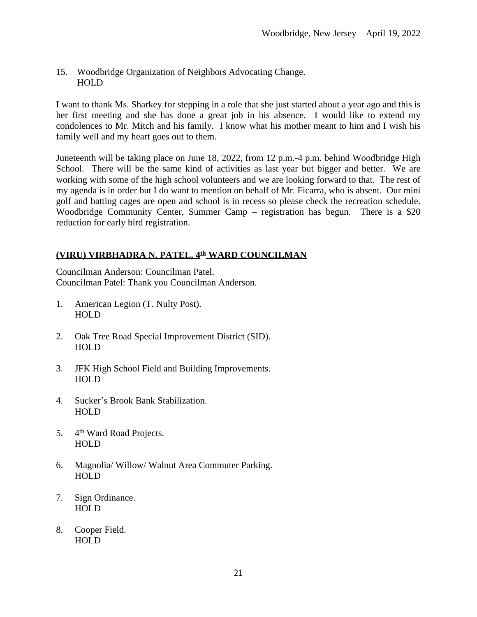#### 15. Woodbridge Organization of Neighbors Advocating Change. HOLD

I want to thank Ms. Sharkey for stepping in a role that she just started about a year ago and this is her first meeting and she has done a great job in his absence. I would like to extend my condolences to Mr. Mitch and his family. I know what his mother meant to him and I wish his family well and my heart goes out to them.

Juneteenth will be taking place on June 18, 2022, from 12 p.m.-4 p.m. behind Woodbridge High School. There will be the same kind of activities as last year but bigger and better. We are working with some of the high school volunteers and we are looking forward to that. The rest of my agenda is in order but I do want to mention on behalf of Mr. Ficarra, who is absent. Our mini golf and batting cages are open and school is in recess so please check the recreation schedule. Woodbridge Community Center, Summer Camp – registration has begun. There is a \$20 reduction for early bird registration.

# **(VIRU) VIRBHADRA N. PATEL, 4th WARD COUNCILMAN**

Councilman Anderson: Councilman Patel. Councilman Patel: Thank you Councilman Anderson.

- 1. American Legion (T. Nulty Post). HOLD
- 2. Oak Tree Road Special Improvement District (SID). **HOLD**
- 3. JFK High School Field and Building Improvements. HOLD
- 4. Sucker's Brook Bank Stabilization. HOLD
- 5. 4<sup>th</sup> Ward Road Projects. HOLD
- 6. Magnolia/ Willow/ Walnut Area Commuter Parking. HOLD
- 7. Sign Ordinance. HOLD
- 8. Cooper Field. HOLD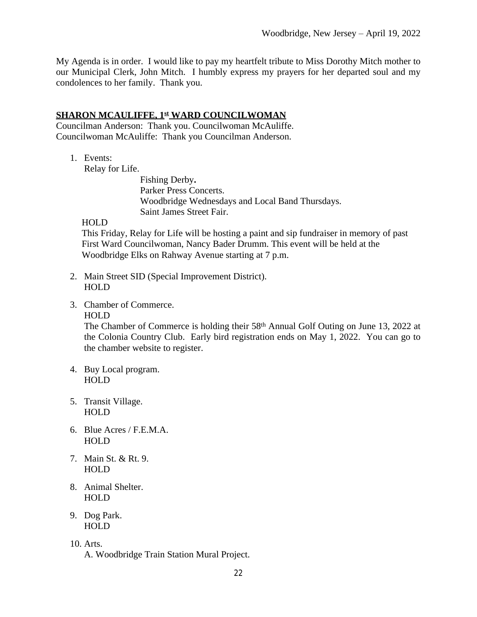My Agenda is in order. I would like to pay my heartfelt tribute to Miss Dorothy Mitch mother to our Municipal Clerk, John Mitch. I humbly express my prayers for her departed soul and my condolences to her family. Thank you.

### **SHARON MCAULIFFE, 1st WARD COUNCILWOMAN**

Councilman Anderson: Thank you. Councilwoman McAuliffe. Councilwoman McAuliffe: Thank you Councilman Anderson.

1. Events:

Relay for Life.

Fishing Derby**.** Parker Press Concerts. Woodbridge Wednesdays and Local Band Thursdays. Saint James Street Fair.

#### HOLD

 This Friday, Relay for Life will be hosting a paint and sip fundraiser in memory of past First Ward Councilwoman, Nancy Bader Drumm. This event will be held at the Woodbridge Elks on Rahway Avenue starting at 7 p.m.

- 2. Main Street SID (Special Improvement District). HOLD
- 3. Chamber of Commerce.

#### HOLD

The Chamber of Commerce is holding their 58<sup>th</sup> Annual Golf Outing on June 13, 2022 at the Colonia Country Club. Early bird registration ends on May 1, 2022. You can go to the chamber website to register.

- 4. Buy Local program. HOLD
- 5. Transit Village. HOLD
- 6. Blue Acres / F.E.M.A. HOLD
- 7. Main St. & Rt. 9. HOLD
- 8. Animal Shelter. HOLD
- 9. Dog Park. HOLD
- 10. Arts.

A. Woodbridge Train Station Mural Project.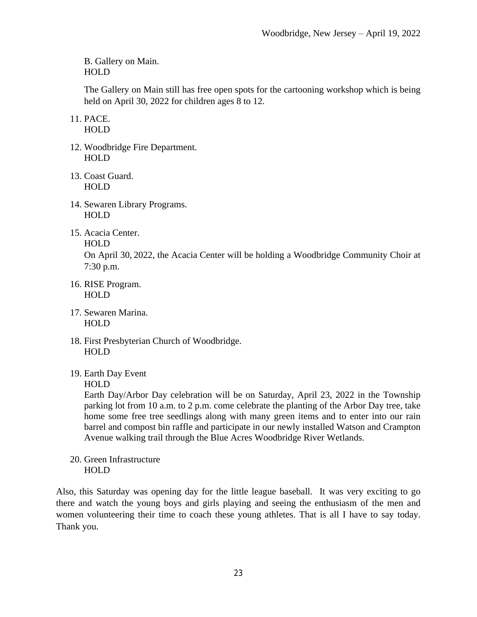B. Gallery on Main. HOLD

The Gallery on Main still has free open spots for the cartooning workshop which is being held on April 30, 2022 for children ages 8 to 12.

11. PACE. HOLD

- 12. Woodbridge Fire Department. HOLD
- 13. Coast Guard. HOLD
- 14. Sewaren Library Programs. HOLD
- 15. Acacia Center.

On April 30, 2022, the Acacia Center will be holding a Woodbridge Community Choir at 7:30 p.m.

- 16. RISE Program. HOLD
- 17. Sewaren Marina. HOLD
- 18. First Presbyterian Church of Woodbridge. HOLD
- 19. Earth Day Event

HOLD

Earth Day/Arbor Day celebration will be on Saturday, April 23, 2022 in the Township parking lot from 10 a.m. to 2 p.m. come celebrate the planting of the Arbor Day tree, take home some free tree seedlings along with many green items and to enter into our rain barrel and compost bin raffle and participate in our newly installed Watson and Crampton Avenue walking trail through the Blue Acres Woodbridge River Wetlands.

20. Green Infrastructure HOLD

Also, this Saturday was opening day for the little league baseball. It was very exciting to go there and watch the young boys and girls playing and seeing the enthusiasm of the men and women volunteering their time to coach these young athletes. That is all I have to say today. Thank you.

HOLD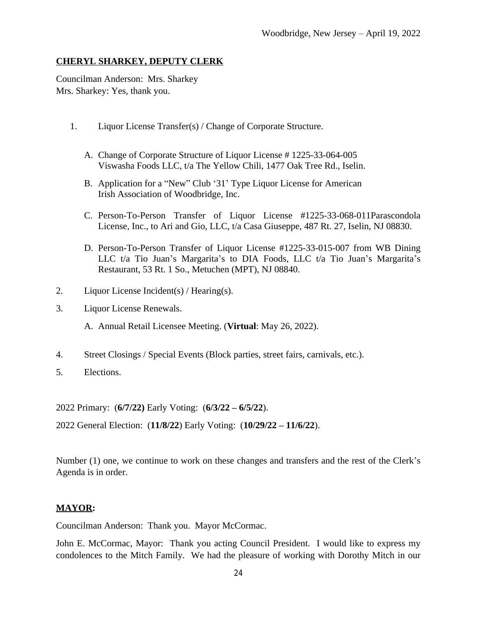### **CHERYL SHARKEY, DEPUTY CLERK**

Councilman Anderson: Mrs. Sharkey Mrs. Sharkey: Yes, thank you.

- 1. Liquor License Transfer(s) / Change of Corporate Structure.
	- A. Change of Corporate Structure of Liquor License # 1225-33-064-005 Viswasha Foods LLC, t/a The Yellow Chili, 1477 Oak Tree Rd., Iselin.
	- B. Application for a "New" Club '31' Type Liquor License for American Irish Association of Woodbridge, Inc.
	- C. Person-To-Person Transfer of Liquor License #1225-33-068-011Parascondola License, Inc., to Ari and Gio, LLC, t/a Casa Giuseppe, 487 Rt. 27, Iselin, NJ 08830.
	- D. Person-To-Person Transfer of Liquor License #1225-33-015-007 from WB Dining LLC t/a Tio Juan's Margarita's to DIA Foods, LLC t/a Tio Juan's Margarita's Restaurant, 53 Rt. 1 So., Metuchen (MPT), NJ 08840.
- 2. Liquor License Incident(s) / Hearing(s).
- 3. Liquor License Renewals.

A. Annual Retail Licensee Meeting. (**Virtual**: May 26, 2022).

- 4. Street Closings / Special Events (Block parties, street fairs, carnivals, etc.).
- 5. Elections.

2022 Primary: (**6/7/22)** Early Voting: (**6/3/22 – 6/5/22**).

2022 General Election: (**11/8/22**) Early Voting: (**10/29/22 – 11/6/22**).

Number (1) one, we continue to work on these changes and transfers and the rest of the Clerk's Agenda is in order.

### **MAYOR:**

Councilman Anderson: Thank you. Mayor McCormac.

John E. McCormac, Mayor: Thank you acting Council President. I would like to express my condolences to the Mitch Family. We had the pleasure of working with Dorothy Mitch in our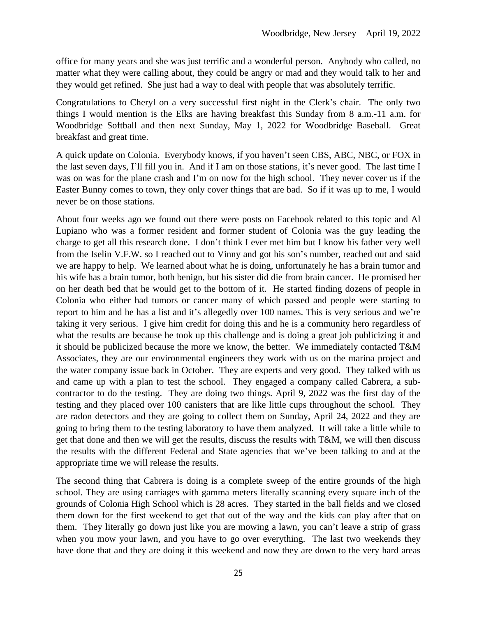office for many years and she was just terrific and a wonderful person. Anybody who called, no matter what they were calling about, they could be angry or mad and they would talk to her and they would get refined. She just had a way to deal with people that was absolutely terrific.

Congratulations to Cheryl on a very successful first night in the Clerk's chair. The only two things I would mention is the Elks are having breakfast this Sunday from 8 a.m.-11 a.m. for Woodbridge Softball and then next Sunday, May 1, 2022 for Woodbridge Baseball. Great breakfast and great time.

A quick update on Colonia. Everybody knows, if you haven't seen CBS, ABC, NBC, or FOX in the last seven days, I'll fill you in. And if I am on those stations, it's never good. The last time I was on was for the plane crash and I'm on now for the high school. They never cover us if the Easter Bunny comes to town, they only cover things that are bad. So if it was up to me, I would never be on those stations.

About four weeks ago we found out there were posts on Facebook related to this topic and Al Lupiano who was a former resident and former student of Colonia was the guy leading the charge to get all this research done. I don't think I ever met him but I know his father very well from the Iselin V.F.W. so I reached out to Vinny and got his son's number, reached out and said we are happy to help. We learned about what he is doing, unfortunately he has a brain tumor and his wife has a brain tumor, both benign, but his sister did die from brain cancer. He promised her on her death bed that he would get to the bottom of it. He started finding dozens of people in Colonia who either had tumors or cancer many of which passed and people were starting to report to him and he has a list and it's allegedly over 100 names. This is very serious and we're taking it very serious. I give him credit for doing this and he is a community hero regardless of what the results are because he took up this challenge and is doing a great job publicizing it and it should be publicized because the more we know, the better. We immediately contacted T&M Associates, they are our environmental engineers they work with us on the marina project and the water company issue back in October. They are experts and very good. They talked with us and came up with a plan to test the school. They engaged a company called Cabrera, a subcontractor to do the testing. They are doing two things. April 9, 2022 was the first day of the testing and they placed over 100 canisters that are like little cups throughout the school. They are radon detectors and they are going to collect them on Sunday, April 24, 2022 and they are going to bring them to the testing laboratory to have them analyzed. It will take a little while to get that done and then we will get the results, discuss the results with T&M, we will then discuss the results with the different Federal and State agencies that we've been talking to and at the appropriate time we will release the results.

The second thing that Cabrera is doing is a complete sweep of the entire grounds of the high school. They are using carriages with gamma meters literally scanning every square inch of the grounds of Colonia High School which is 28 acres. They started in the ball fields and we closed them down for the first weekend to get that out of the way and the kids can play after that on them. They literally go down just like you are mowing a lawn, you can't leave a strip of grass when you mow your lawn, and you have to go over everything. The last two weekends they have done that and they are doing it this weekend and now they are down to the very hard areas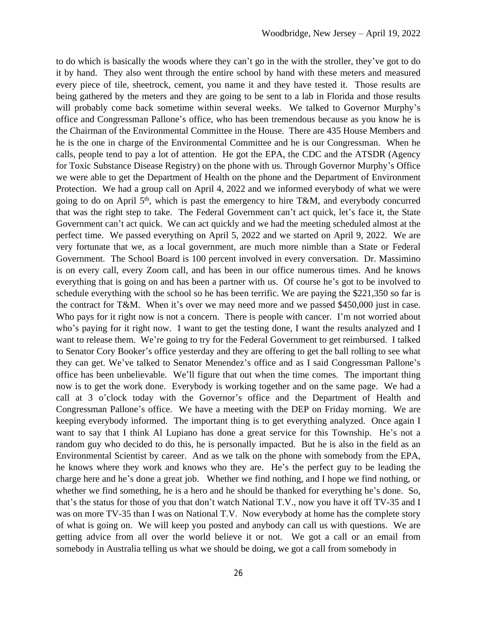to do which is basically the woods where they can't go in the with the stroller, they've got to do it by hand. They also went through the entire school by hand with these meters and measured every piece of tile, sheetrock, cement, you name it and they have tested it. Those results are being gathered by the meters and they are going to be sent to a lab in Florida and those results will probably come back sometime within several weeks. We talked to Governor Murphy's office and Congressman Pallone's office, who has been tremendous because as you know he is the Chairman of the Environmental Committee in the House. There are 435 House Members and he is the one in charge of the Environmental Committee and he is our Congressman. When he calls, people tend to pay a lot of attention. He got the EPA, the CDC and the ATSDR (Agency for Toxic Substance Disease Registry) on the phone with us. Through Governor Murphy's Office we were able to get the Department of Health on the phone and the Department of Environment Protection. We had a group call on April 4, 2022 and we informed everybody of what we were going to do on April 5<sup>th</sup>, which is past the emergency to hire T&M, and everybody concurred that was the right step to take. The Federal Government can't act quick, let's face it, the State Government can't act quick. We can act quickly and we had the meeting scheduled almost at the perfect time. We passed everything on April 5, 2022 and we started on April 9, 2022. We are very fortunate that we, as a local government, are much more nimble than a State or Federal Government. The School Board is 100 percent involved in every conversation. Dr. Massimino is on every call, every Zoom call, and has been in our office numerous times. And he knows everything that is going on and has been a partner with us. Of course he's got to be involved to schedule everything with the school so he has been terrific. We are paying the \$221,350 so far is the contract for T&M. When it's over we may need more and we passed \$450,000 just in case. Who pays for it right now is not a concern. There is people with cancer. I'm not worried about who's paying for it right now. I want to get the testing done, I want the results analyzed and I want to release them. We're going to try for the Federal Government to get reimbursed. I talked to Senator Cory Booker's office yesterday and they are offering to get the ball rolling to see what they can get. We've talked to Senator Menendez's office and as I said Congressman Pallone's office has been unbelievable. We'll figure that out when the time comes. The important thing now is to get the work done. Everybody is working together and on the same page. We had a call at 3 o'clock today with the Governor's office and the Department of Health and Congressman Pallone's office. We have a meeting with the DEP on Friday morning. We are keeping everybody informed. The important thing is to get everything analyzed. Once again I want to say that I think Al Lupiano has done a great service for this Township. He's not a random guy who decided to do this, he is personally impacted. But he is also in the field as an Environmental Scientist by career. And as we talk on the phone with somebody from the EPA, he knows where they work and knows who they are. He's the perfect guy to be leading the charge here and he's done a great job. Whether we find nothing, and I hope we find nothing, or whether we find something, he is a hero and he should be thanked for everything he's done. So, that's the status for those of you that don't watch National T.V., now you have it off TV-35 and I was on more TV-35 than I was on National T.V. Now everybody at home has the complete story of what is going on. We will keep you posted and anybody can call us with questions. We are getting advice from all over the world believe it or not. We got a call or an email from somebody in Australia telling us what we should be doing, we got a call from somebody in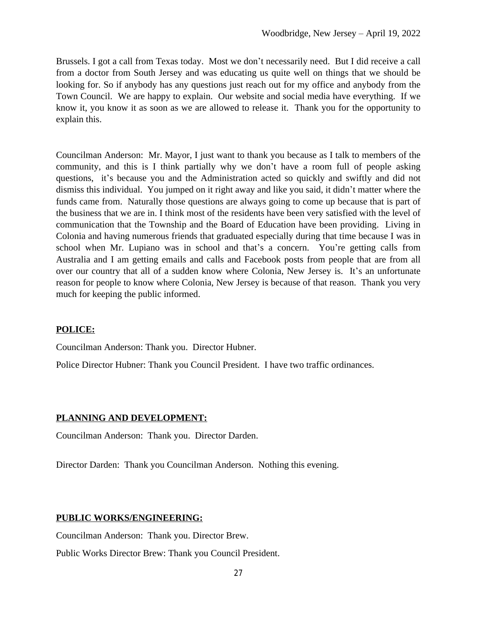Brussels. I got a call from Texas today. Most we don't necessarily need. But I did receive a call from a doctor from South Jersey and was educating us quite well on things that we should be looking for. So if anybody has any questions just reach out for my office and anybody from the Town Council. We are happy to explain. Our website and social media have everything. If we know it, you know it as soon as we are allowed to release it. Thank you for the opportunity to explain this.

Councilman Anderson: Mr. Mayor, I just want to thank you because as I talk to members of the community, and this is I think partially why we don't have a room full of people asking questions, it's because you and the Administration acted so quickly and swiftly and did not dismiss this individual. You jumped on it right away and like you said, it didn't matter where the funds came from. Naturally those questions are always going to come up because that is part of the business that we are in. I think most of the residents have been very satisfied with the level of communication that the Township and the Board of Education have been providing. Living in Colonia and having numerous friends that graduated especially during that time because I was in school when Mr. Lupiano was in school and that's a concern. You're getting calls from Australia and I am getting emails and calls and Facebook posts from people that are from all over our country that all of a sudden know where Colonia, New Jersey is. It's an unfortunate reason for people to know where Colonia, New Jersey is because of that reason. Thank you very much for keeping the public informed.

### **POLICE:**

Councilman Anderson: Thank you. Director Hubner.

Police Director Hubner: Thank you Council President. I have two traffic ordinances.

### **PLANNING AND DEVELOPMENT:**

Councilman Anderson: Thank you. Director Darden.

Director Darden: Thank you Councilman Anderson. Nothing this evening.

### **PUBLIC WORKS/ENGINEERING:**

Councilman Anderson: Thank you. Director Brew.

Public Works Director Brew: Thank you Council President.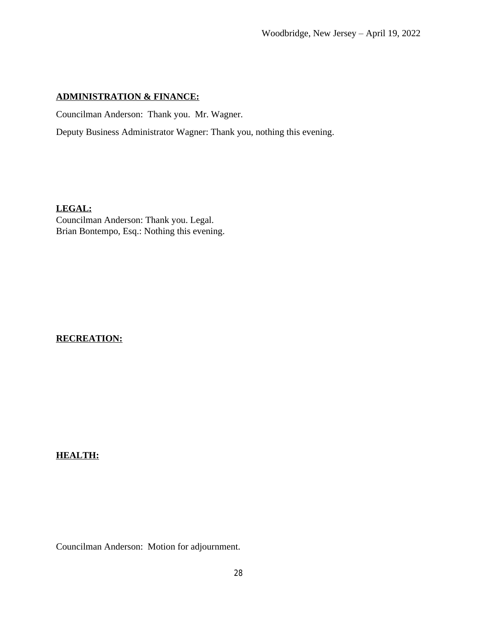### **ADMINISTRATION & FINANCE:**

Councilman Anderson: Thank you. Mr. Wagner.

Deputy Business Administrator Wagner: Thank you, nothing this evening.

**LEGAL:**

Councilman Anderson: Thank you. Legal. Brian Bontempo, Esq.: Nothing this evening.

## **RECREATION:**

### **HEALTH:**

Councilman Anderson: Motion for adjournment.